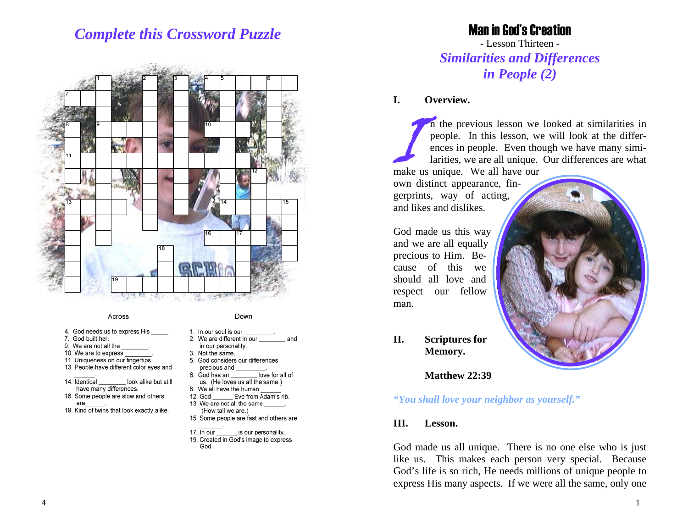# *Complete this Crossword Puzzle*



#### Across

- 4. God needs us to express His
- 7. God built her.
- 9. We are not all the
- 10. We are to express
- 11. Uniqueness on our fingertips. 13. People have different color eves and
- 14. Identical look alike but still
- have many differences. 16. Some people are slow and others
- are
- 19. Kind of twins that look exactly alike.
- Down
- 1. In our soul is our 2. We are different in our
- in our personality.
- 3. Not the same. 5. God considers our differences
- precious and love for all of 6. God has an

and

- us. (He loves us all the same.)
- 8. We all have the human
- 12. God \_\_\_\_\_\_\_\_ Eve from Adam's rib.
- 13. We are not all the same (How tall we are.)
- 15. Some people are fast and others are
- 17. In our is our personality.
- 19. Created in God's image to express God.

## Man in God's Creation

- Lesson Thirteen - *Similarities and Differences in People (2)*

#### **I. Overview.**

In the previous lesson we looked at similarities in people. In this lesson, we will look at the differ- ences in people. Even though we have many simi- larities, we are all unique. Our differences are what make us unique. We all have our

own distinct appearance, fingerprints, way of acting, and likes and dislikes.

God made us this way and we are all equally precious to Him. Because of this we should all love and respect our fellow man.



**II. Scriptures for Memory.** 

 **Matthew 22:39** 

#### *"You shall love your neighbor as yourself."*

#### **III. Lesson.**

God made us all unique. There is no one else who is just like us. This makes each person very special. Because God's life is so rich, He needs millions of unique people to express His many aspects. If we were all the same, only one